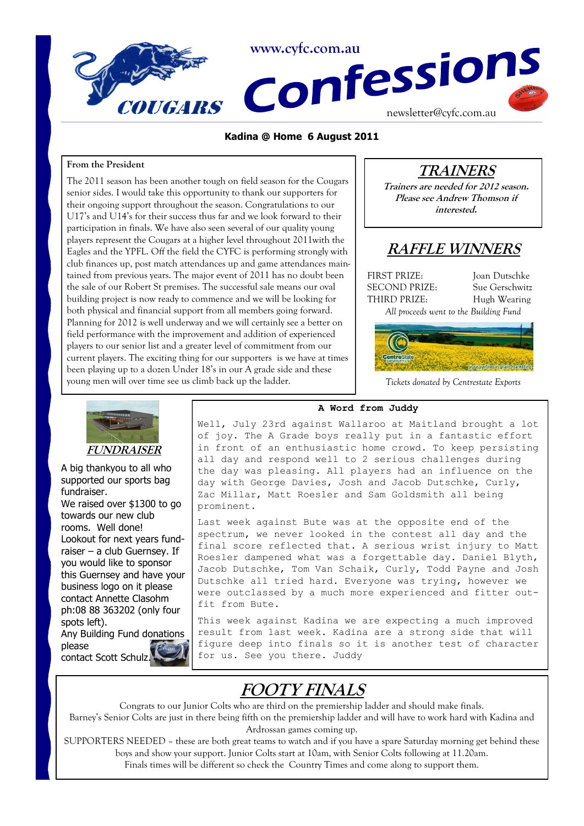

#### **Kadina @ Home 6 August 2011**

#### **From the President**

The 2011 season has been another tough on field season for the Cougars senior sides. I would take this opportunity to thank our supporters for their ongoing support throughout the season. Congratulations to our U17's and U14's for their success thus far and we look forward to their participation in finals. We have also seen several of our quality young players represent the Cougars at a higher level throughout 2011with the Eagles and the YPFL. Off the field the CYFC is performing strongly with club finances up, post match attendances up and game attendances maintained from previous years. The major event of 2011 has no doubt been the sale of our Robert St premises. The successful sale means our oval building project is now ready to commence and we will be looking for both physical and financial support from all members going forward. Planning for 2012 is well underway and we will certainly see a better on field performance with the improvement and addition of experienced players to our senior list and a greater level of commitment from our current players. The exciting thing for our supporters is we have at times been playing up to a dozen Under 18's in our A grade side and these young men will over time see us climb back up the ladder.

# **TRAINERS**

**Trainers are needed for 2012 season. Please see Andrew Thomson if interested.**

# **RAFFLE WINNERS**

FIRST PRIZE: Joan Dutschke SECOND PRIZE: Sue Gerschwitz THIRD PRIZE: Hugh Wearing





*Tickets donated by Centrestate Exports*



A big thankyou to all who supported our sports bag fundraiser.

We raised over \$1300 to go towards our new club rooms. Well done! Lookout for next years fundraiser – a club Guernsey. If you would like to sponsor this Guernsey and have your business logo on it please contact Annette Clasohm ph:08 88 363202 (only four spots left).

**A Word from Juddy**

Well, July 23rd against Wallaroo at Maitland brought a lot of joy. The A Grade boys really put in a fantastic effort in front of an enthusiastic home crowd. To keep persisting all day and respond well to 2 serious challenges during the day was pleasing. All players had an influence on the day with George Davies, Josh and Jacob Dutschke, Curly, Zac Millar, Matt Roesler and Sam Goldsmith all being prominent.

Last week against Bute was at the opposite end of the spectrum, we never looked in the contest all day and the final score reflected that. A serious wrist injury to Matt Roesler dampened what was a forgettable day. Daniel Blyth, Jacob Dutschke, Tom Van Schaik, Curly, Todd Payne and Josh Dutschke all tried hard. Everyone was trying, however we were outclassed by a much more experienced and fitter outfit from Bute.

This week against Kadina we are expecting a much improved result from last week. Kadina are a strong side that will figure deep into finals so it is another test of character for us. See you there. Juddy

# **FOOTY FINALS**

Congrats to our Junior Colts who are third on the premiership ladder and should make finals. Barney's Senior Colts are just in there being fifth on the premiership ladder and will have to work hard with Kadina and Ardrossan games coming up.

SUPPORTERS NEEDED – these are both great teams to watch and if you have a spare Saturday morning get behind these boys and show your support. Junior Colts start at 10am, with Senior Colts following at 11.20am. Finals times will be different so check the Country Times and come along to support them.

Any Building Fund donations please contact Scott Schulz.